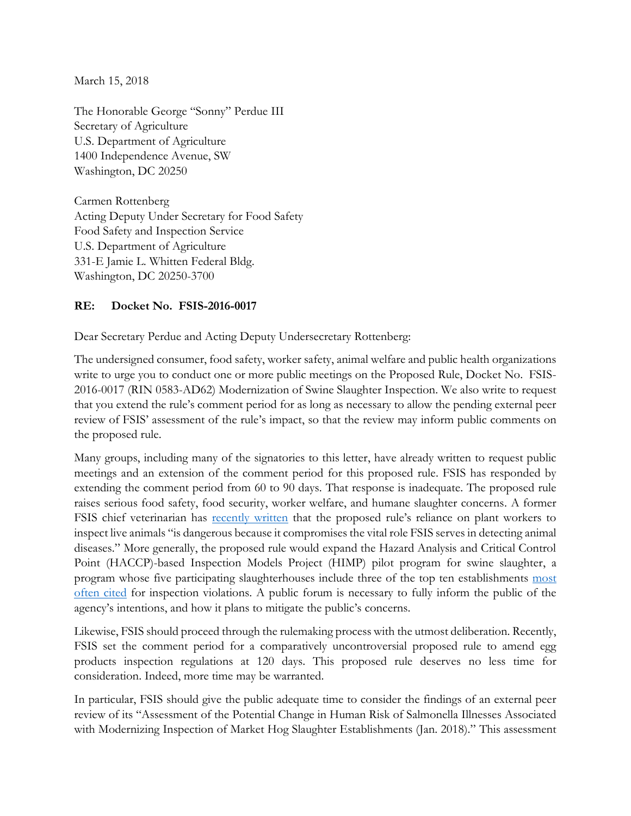March 15, 2018

The Honorable George "Sonny" Perdue III Secretary of Agriculture U.S. Department of Agriculture 1400 Independence Avenue, SW Washington, DC 20250

Carmen Rottenberg Acting Deputy Under Secretary for Food Safety Food Safety and Inspection Service U.S. Department of Agriculture 331-E Jamie L. Whitten Federal Bldg. Washington, DC 20250-3700

## **RE: Docket No. FSIS-2016-0017**

Dear Secretary Perdue and Acting Deputy Undersecretary Rottenberg:

The undersigned consumer, food safety, worker safety, animal welfare and public health organizations write to urge you to conduct one or more public meetings on the Proposed Rule, Docket No. FSIS-2016-0017 (RIN 0583-AD62) Modernization of Swine Slaughter Inspection. We also write to request that you extend the rule's comment period for as long as necessary to allow the pending external peer review of FSIS' assessment of the rule's impact, so that the review may inform public comments on the proposed rule.

Many groups, including many of the signatories to this letter, have already written to request public meetings and an extension of the comment period for this proposed rule. FSIS has responded by extending the comment period from 60 to 90 days. That response is inadequate. The proposed rule raises serious food safety, food security, worker welfare, and humane slaughter concerns. A former FSIS chief veterinarian has [recently written](http://www.meatingplace.com/Industry/Blogs/Details/77791) that the proposed rule's reliance on plant workers to inspect live animals "is dangerous because it compromises the vital role FSIS serves in detecting animal diseases." More generally, the proposed rule would expand the Hazard Analysis and Critical Control Point (HACCP)-based Inspection Models Project (HIMP) pilot program for swine slaughter, a program whose five participating slaughterhouses include three of the top ten establishments most [often cited](https://www.foodandwaterwatch.org/news/trump-releases-proposed-rule-privatized-inspection-scheme-hog-plants) for inspection violations. A public forum is necessary to fully inform the public of the agency's intentions, and how it plans to mitigate the public's concerns.

Likewise, FSIS should proceed through the rulemaking process with the utmost deliberation. Recently, FSIS set the comment period for a comparatively uncontroversial proposed rule to amend egg products inspection regulations at 120 days. This proposed rule deserves no less time for consideration. Indeed, more time may be warranted.

In particular, FSIS should give the public adequate time to consider the findings of an external peer review of its "Assessment of the Potential Change in Human Risk of Salmonella Illnesses Associated with Modernizing Inspection of Market Hog Slaughter Establishments (Jan. 2018)." This assessment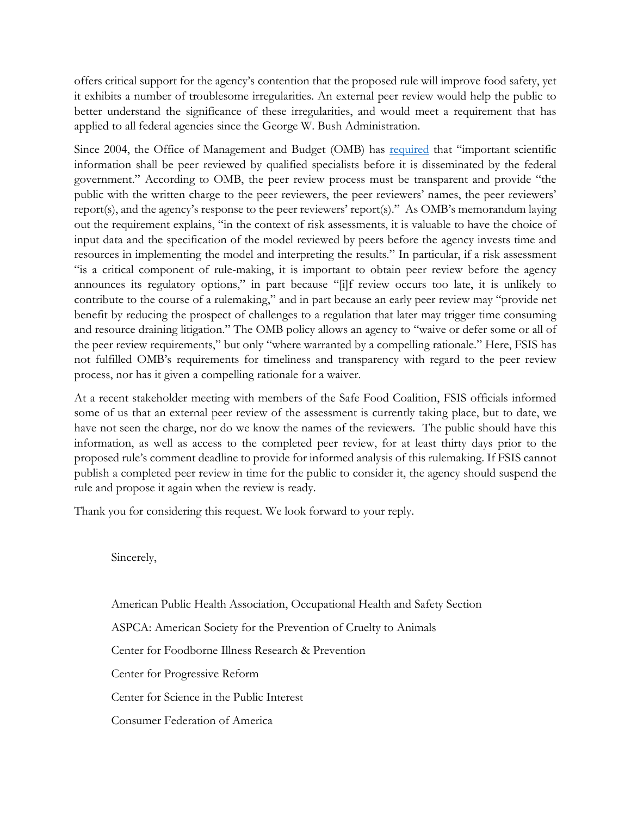offers critical support for the agency's contention that the proposed rule will improve food safety, yet it exhibits a number of troublesome irregularities. An external peer review would help the public to better understand the significance of these irregularities, and would meet a requirement that has applied to all federal agencies since the George W. Bush Administration.

Since 2004, the Office of Management and Budget (OMB) has [required](http://www.cio.noaa.gov/services_programs/pdfs/OMB_Peer_Review_Bulletin_m05-03.pdf) that "important scientific information shall be peer reviewed by qualified specialists before it is disseminated by the federal government." According to OMB, the peer review process must be transparent and provide "the public with the written charge to the peer reviewers, the peer reviewers' names, the peer reviewers' report(s), and the agency's response to the peer reviewers' report(s)." As OMB's memorandum laying out the requirement explains, "in the context of risk assessments, it is valuable to have the choice of input data and the specification of the model reviewed by peers before the agency invests time and resources in implementing the model and interpreting the results." In particular, if a risk assessment "is a critical component of rule-making, it is important to obtain peer review before the agency announces its regulatory options," in part because "[i]f review occurs too late, it is unlikely to contribute to the course of a rulemaking," and in part because an early peer review may "provide net benefit by reducing the prospect of challenges to a regulation that later may trigger time consuming and resource draining litigation." The OMB policy allows an agency to "waive or defer some or all of the peer review requirements," but only "where warranted by a compelling rationale." Here, FSIS has not fulfilled OMB's requirements for timeliness and transparency with regard to the peer review process, nor has it given a compelling rationale for a waiver.

At a recent stakeholder meeting with members of the Safe Food Coalition, FSIS officials informed some of us that an external peer review of the assessment is currently taking place, but to date, we have not seen the charge, nor do we know the names of the reviewers. The public should have this information, as well as access to the completed peer review, for at least thirty days prior to the proposed rule's comment deadline to provide for informed analysis of this rulemaking. If FSIS cannot publish a completed peer review in time for the public to consider it, the agency should suspend the rule and propose it again when the review is ready.

Thank you for considering this request. We look forward to your reply.

Sincerely,

American Public Health Association, Occupational Health and Safety Section ASPCA: American Society for the Prevention of Cruelty to Animals Center for Foodborne Illness Research & Prevention Center for Progressive Reform Center for Science in the Public Interest Consumer Federation of America